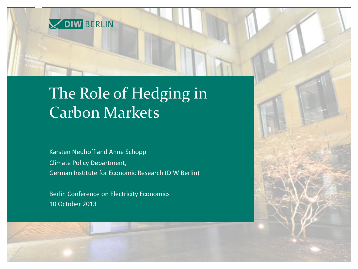

## The Role of Hedging in Carbon Markets

Karsten Neuhoff and Anne Schopp Climate Policy Department, German Institute for Economic Research (DIW Berlin)

Berlin Conference on Electricity Economics 10 October 2013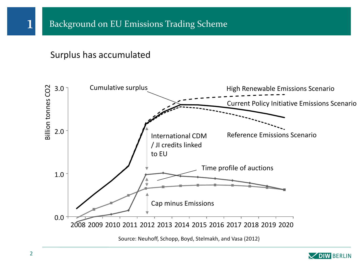## Surplus has accumulated



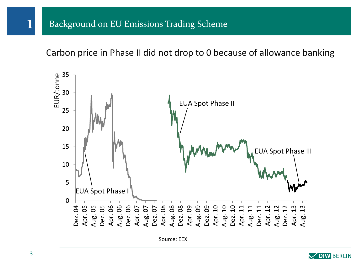Carbon price in Phase II did not drop to 0 because of allowance banking



Source: EEX

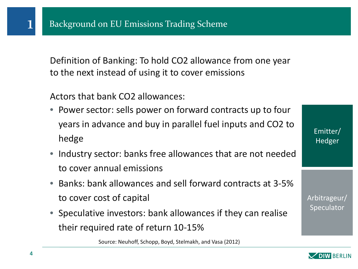Definition of Banking: To hold CO2 allowance from one year to the next instead of using it to cover emissions

Actors that bank CO2 allowances:

- Power sector: sells power on forward contracts up to four years in advance and buy in parallel fuel inputs and CO2 to hedge
- Industry sector: banks free allowances that are not needed to cover annual emissions
- Banks: bank allowances and sell forward contracts at 3-5% to cover cost of capital
- Speculative investors: bank allowances if they can realise their required rate of return 10-15%

Source: Neuhoff, Schopp, Boyd, Stelmakh, and Vasa (2012)

Emitter/ **Hedger** 

Arbitrageur/ Speculator

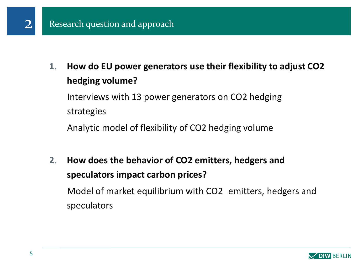

**1. How do EU power generators use their flexibility to adjust CO2 hedging volume?** 

Interviews with 13 power generators on CO2 hedging strategies

Analytic model of flexibility of CO2 hedging volume

**2. How does the behavior of CO2 emitters, hedgers and speculators impact carbon prices?** Model of market equilibrium with CO2 emitters, hedgers and speculators

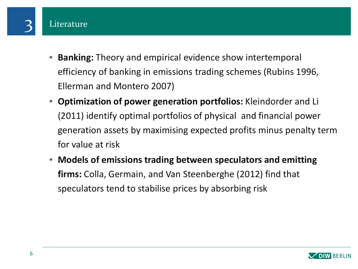

- **Banking:** Theory and empirical evidence show intertemporal efficiency of banking in emissions trading schemes (Rubins 1996, Ellerman and Montero 2007)
- **Optimization of power generation portfolios:** Kleindorder and Li (2011) identify optimal portfolios of physical and financial power generation assets by maximising expected profits minus penalty term for value at risk
- **Models of emissions trading between speculators and emitting firms:** Colla, Germain, and Van Steenberghe (2012) find that speculators tend to stabilise prices by absorbing risk

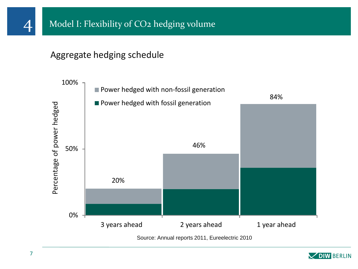

## Aggregate hedging schedule



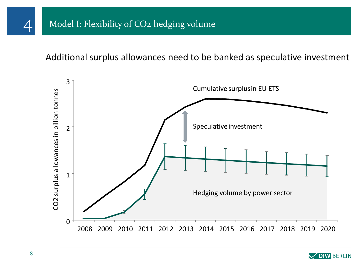Additional surplus allowances need to be banked as speculative investment



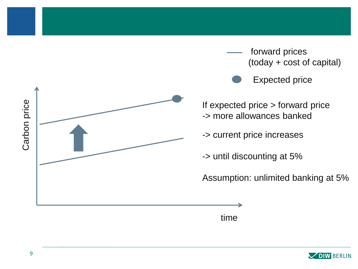

forward prices (today + cost of capital )

Expected price

If expected price > forward price -> more allowances banked

-> current price increases

-> until discounting at 5%

Assumption: unlimited banking at 5%

time

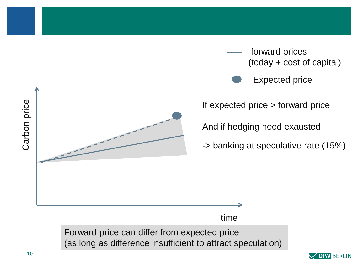

forward prices (today + cost of capital)

Expected price

If expected price > forward price

And if hedging need exausted

time

-> banking at speculative rate (15%)

Forward price can differ from expected price (as long as difference insufficient to attract speculation)

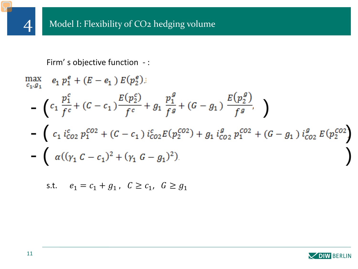

Firm' s objective function - :

$$
\begin{array}{ll}\n\max_{c_1, g_1} & e_1 \, p_1^e + (E - e_1) \, E(p_2^e) \\
& \quad - \left( c_1 \, \frac{p_1^c}{f^c} + (C - c_1) \frac{E(p_2^c)}{f^c} + g_1 \, \frac{p_1^g}{f^g} + (G - g_1) \, \frac{E(p_2^g)}{f^g} \right) \\
& \quad - \left( c_1 \, i_{CO2}^c \, p_1^{CO2} + (C - c_1) \, i_{CO2}^c E(p_2^{CO2}) + g_1 \, i_{CO2}^g \, p_1^{CO2} + (G - g_1) \, i_{CO2}^g \, E(p_2^{CO2}) \right) \\
& \quad - \left( \, \alpha \, ((\gamma_1 \, C - c_1)^2 + (\gamma_1 \, G - g_1)^2) \right)\n\end{array}
$$

s.t. 
$$
e_1 = c_1 + g_1
$$
,  $C \ge c_1$ ,  $G \ge g_1$ 



4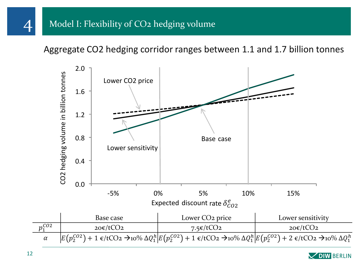Aggregate CO2 hedging corridor ranges between 1.1 and 1.7 billion tonnes



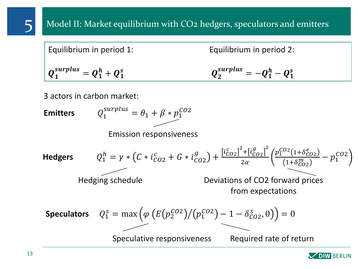| Equilibrium in period 1:        | Equilibrium in period 2:         |
|---------------------------------|----------------------------------|
| $Q_1^{surplus} = Q_1^h + Q_1^s$ | $Q_2^{surplus} = -Q_1^h - Q_1^s$ |

3 actors in carbon market:

**Hedgers**  $h_1^h = \gamma * (C * i_{CO2}^c + G * i_{CO2}^g) + \frac{[i_{CO2}^c]^2 + [i_{CO2}^g]}{2\alpha}$  $g_{1}^{2}$  $2\alpha$  $p_1^{CO2}(1+\delta_{CO2}^e)$  $\frac{(1+o_{CO2})}{1+\delta_{CO2}^{m}} - p_1^{CO2}$ **Speculators**  $S_1^S = \max \left( \varphi \left( E \left( p_2^{CO2} \right) / (p_1^{CO2}) - 1 - \delta_{CO2}^S, 0 \right) \right) = 0.$ **Emitters**  $S_{1}^{surplus} = \theta_1 + \beta * p_1^{CO2}$ Emission responsiveness Hedging schedule Deviations of CO2 forward prices from expectations Speculative responsiveness Required rate of return

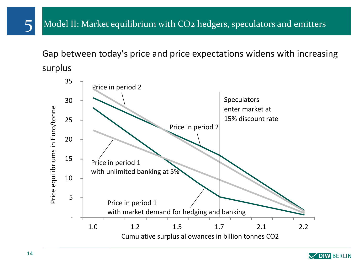Gap between today's price and price expectations widens with increasing surplus



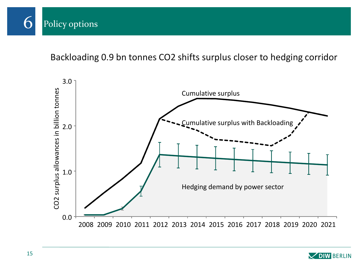

Backloading 0.9 bn tonnes CO2 shifts surplus closer to hedging corridor



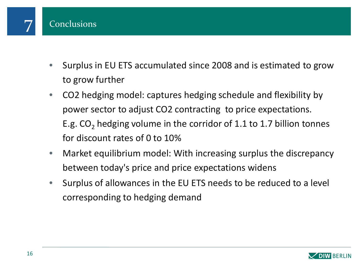

- Surplus in EU ETS accumulated since 2008 and is estimated to grow to grow further
- CO2 hedging model: captures hedging schedule and flexibility by power sector to adjust CO2 contracting to price expectations. E.g.  $CO<sub>2</sub>$  hedging volume in the corridor of 1.1 to 1.7 billion tonnes for discount rates of 0 to 10%
- Market equilibrium model: With increasing surplus the discrepancy between today's price and price expectations widens
- Surplus of allowances in the EU ETS needs to be reduced to a level corresponding to hedging demand